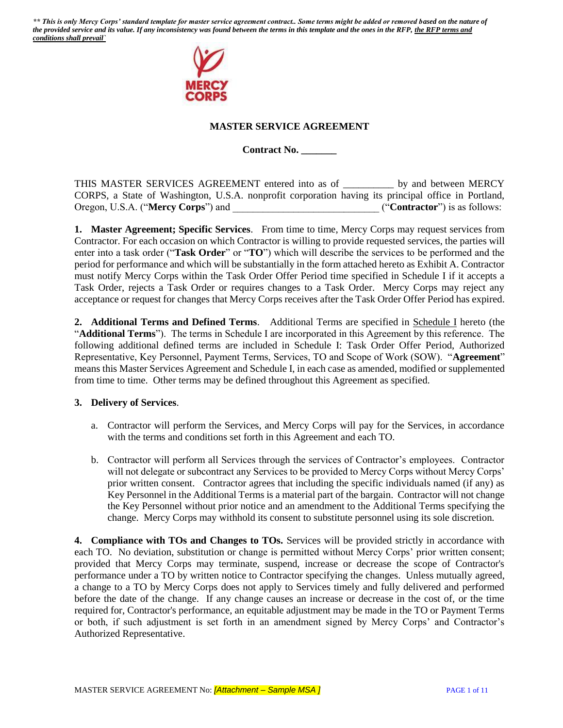

## **MASTER SERVICE AGREEMENT**

**Contract No. \_\_\_\_\_\_\_**

THIS MASTER SERVICES AGREEMENT entered into as of \_\_\_\_\_\_\_\_\_\_ by and between MERCY CORPS, a State of Washington, U.S.A. nonprofit corporation having its principal office in Portland, Oregon, U.S.A. ("**Mercy Corps**") and  $($ "**Contractor**") is as follows:

**1. Master Agreement; Specific Services**. From time to time, Mercy Corps may request services from Contractor. For each occasion on which Contractor is willing to provide requested services, the parties will enter into a task order ("**Task Order**" or "**TO**") which will describe the services to be performed and the period for performance and which will be substantially in the form attached hereto as Exhibit A. Contractor must notify Mercy Corps within the Task Order Offer Period time specified in Schedule I if it accepts a Task Order, rejects a Task Order or requires changes to a Task Order. Mercy Corps may reject any acceptance or request for changes that Mercy Corps receives after the Task Order Offer Period has expired.

**2. Additional Terms and Defined Terms**. Additional Terms are specified in Schedule I hereto (the "**Additional Terms**"). The terms in Schedule I are incorporated in this Agreement by this reference. The following additional defined terms are included in Schedule I: Task Order Offer Period, Authorized Representative, Key Personnel, Payment Terms, Services, TO and Scope of Work (SOW). "**Agreement**" means this Master Services Agreement and Schedule I, in each case as amended, modified or supplemented from time to time. Other terms may be defined throughout this Agreement as specified.

### **3. Delivery of Services**.

- a. Contractor will perform the Services, and Mercy Corps will pay for the Services, in accordance with the terms and conditions set forth in this Agreement and each TO.
- b. Contractor will perform all Services through the services of Contractor's employees. Contractor will not delegate or subcontract any Services to be provided to Mercy Corps without Mercy Corps' prior written consent. Contractor agrees that including the specific individuals named (if any) as Key Personnel in the Additional Terms is a material part of the bargain. Contractor will not change the Key Personnel without prior notice and an amendment to the Additional Terms specifying the change. Mercy Corps may withhold its consent to substitute personnel using its sole discretion.

**4. Compliance with TOs and Changes to TOs.** Services will be provided strictly in accordance with each TO. No deviation, substitution or change is permitted without Mercy Corps' prior written consent; provided that Mercy Corps may terminate, suspend, increase or decrease the scope of Contractor's performance under a TO by written notice to Contractor specifying the changes. Unless mutually agreed, a change to a TO by Mercy Corps does not apply to Services timely and fully delivered and performed before the date of the change. If any change causes an increase or decrease in the cost of, or the time required for, Contractor's performance, an equitable adjustment may be made in the TO or Payment Terms or both, if such adjustment is set forth in an amendment signed by Mercy Corps' and Contractor's Authorized Representative.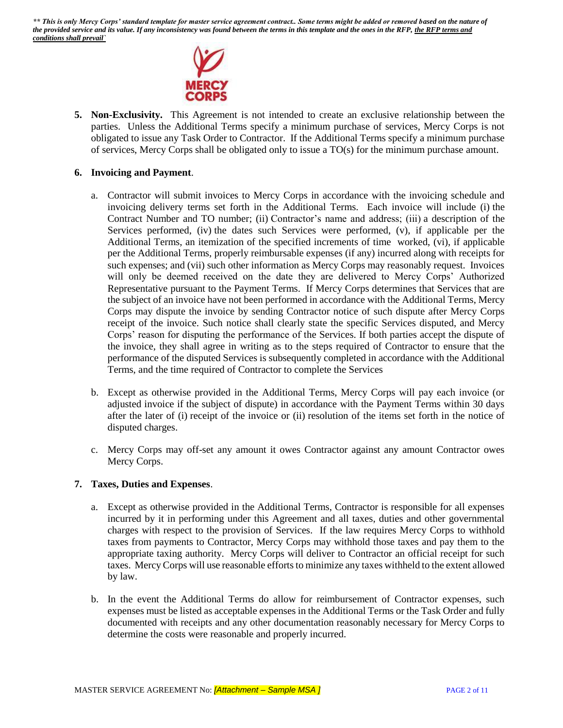

**5. Non-Exclusivity.** This Agreement is not intended to create an exclusive relationship between the parties. Unless the Additional Terms specify a minimum purchase of services, Mercy Corps is not obligated to issue any Task Order to Contractor. If the Additional Terms specify a minimum purchase of services, Mercy Corps shall be obligated only to issue a TO(s) for the minimum purchase amount.

#### **6. Invoicing and Payment**.

- a. Contractor will submit invoices to Mercy Corps in accordance with the invoicing schedule and invoicing delivery terms set forth in the Additional Terms. Each invoice will include (i) the Contract Number and TO number; (ii) Contractor's name and address; (iii) a description of the Services performed, (iv) the dates such Services were performed, (v), if applicable per the Additional Terms, an itemization of the specified increments of time worked, (vi), if applicable per the Additional Terms, properly reimbursable expenses (if any) incurred along with receipts for such expenses; and (vii) such other information as Mercy Corps may reasonably request. Invoices will only be deemed received on the date they are delivered to Mercy Corps' Authorized Representative pursuant to the Payment Terms. If Mercy Corps determines that Services that are the subject of an invoice have not been performed in accordance with the Additional Terms, Mercy Corps may dispute the invoice by sending Contractor notice of such dispute after Mercy Corps receipt of the invoice. Such notice shall clearly state the specific Services disputed, and Mercy Corps' reason for disputing the performance of the Services. If both parties accept the dispute of the invoice, they shall agree in writing as to the steps required of Contractor to ensure that the performance of the disputed Services is subsequently completed in accordance with the Additional Terms, and the time required of Contractor to complete the Services
- b. Except as otherwise provided in the Additional Terms, Mercy Corps will pay each invoice (or adjusted invoice if the subject of dispute) in accordance with the Payment Terms within 30 days after the later of (i) receipt of the invoice or (ii) resolution of the items set forth in the notice of disputed charges.
- c. Mercy Corps may off-set any amount it owes Contractor against any amount Contractor owes Mercy Corps.

#### **7. Taxes, Duties and Expenses**.

- a. Except as otherwise provided in the Additional Terms, Contractor is responsible for all expenses incurred by it in performing under this Agreement and all taxes, duties and other governmental charges with respect to the provision of Services. If the law requires Mercy Corps to withhold taxes from payments to Contractor, Mercy Corps may withhold those taxes and pay them to the appropriate taxing authority. Mercy Corps will deliver to Contractor an official receipt for such taxes. Mercy Corps will use reasonable efforts to minimize any taxes withheld to the extent allowed by law.
- b. In the event the Additional Terms do allow for reimbursement of Contractor expenses, such expenses must be listed as acceptable expenses in the Additional Terms or the Task Order and fully documented with receipts and any other documentation reasonably necessary for Mercy Corps to determine the costs were reasonable and properly incurred.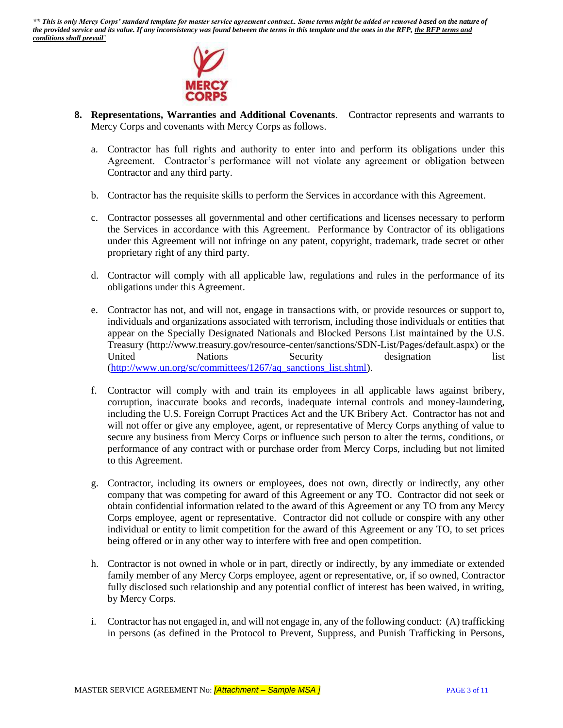

- **8. Representations, Warranties and Additional Covenants**. Contractor represents and warrants to Mercy Corps and covenants with Mercy Corps as follows.
	- a. Contractor has full rights and authority to enter into and perform its obligations under this Agreement. Contractor's performance will not violate any agreement or obligation between Contractor and any third party.
	- b. Contractor has the requisite skills to perform the Services in accordance with this Agreement.
	- c. Contractor possesses all governmental and other certifications and licenses necessary to perform the Services in accordance with this Agreement. Performance by Contractor of its obligations under this Agreement will not infringe on any patent, copyright, trademark, trade secret or other proprietary right of any third party.
	- d. Contractor will comply with all applicable law, regulations and rules in the performance of its obligations under this Agreement.
	- e. Contractor has not, and will not, engage in transactions with, or provide resources or support to, individuals and organizations associated with terrorism, including those individuals or entities that appear on the Specially Designated Nationals and Blocked Persons List maintained by the U.S. Treasury (http://www.treasury.gov/resource-center/sanctions/SDN-List/Pages/default.aspx) or the United Nations Security designation list [\(http://www.un.org/sc/committees/1267/aq\\_sanctions\\_list.shtml\)](http://www.un.org/sc/committees/1267/aq_sanctions_list.shtml).
	- f. Contractor will comply with and train its employees in all applicable laws against bribery, corruption, inaccurate books and records, inadequate internal controls and money-laundering, including the U.S. Foreign Corrupt Practices Act and the UK Bribery Act. Contractor has not and will not offer or give any employee, agent, or representative of Mercy Corps anything of value to secure any business from Mercy Corps or influence such person to alter the terms, conditions, or performance of any contract with or purchase order from Mercy Corps, including but not limited to this Agreement.
	- g. Contractor, including its owners or employees, does not own, directly or indirectly, any other company that was competing for award of this Agreement or any TO. Contractor did not seek or obtain confidential information related to the award of this Agreement or any TO from any Mercy Corps employee, agent or representative. Contractor did not collude or conspire with any other individual or entity to limit competition for the award of this Agreement or any TO, to set prices being offered or in any other way to interfere with free and open competition.
	- h. Contractor is not owned in whole or in part, directly or indirectly, by any immediate or extended family member of any Mercy Corps employee, agent or representative, or, if so owned, Contractor fully disclosed such relationship and any potential conflict of interest has been waived, in writing, by Mercy Corps.
	- i. Contractor has not engaged in, and will not engage in, any of the following conduct: (A) trafficking in persons (as defined in the Protocol to Prevent, Suppress, and Punish Trafficking in Persons,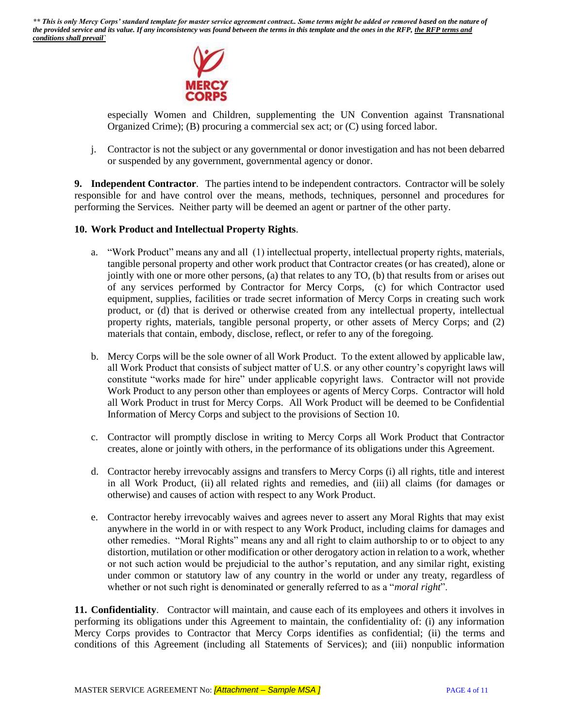

especially Women and Children, supplementing the UN Convention against Transnational Organized Crime); (B) procuring a commercial sex act; or (C) using forced labor.

j. Contractor is not the subject or any governmental or donor investigation and has not been debarred or suspended by any government, governmental agency or donor.

**9. Independent Contractor**. The parties intend to be independent contractors. Contractor will be solely responsible for and have control over the means, methods, techniques, personnel and procedures for performing the Services. Neither party will be deemed an agent or partner of the other party.

### **10. Work Product and Intellectual Property Rights**.

- a. "Work Product" means any and all (1) intellectual property, intellectual property rights, materials, tangible personal property and other work product that Contractor creates (or has created), alone or jointly with one or more other persons, (a) that relates to any TO, (b) that results from or arises out of any services performed by Contractor for Mercy Corps, (c) for which Contractor used equipment, supplies, facilities or trade secret information of Mercy Corps in creating such work product, or (d) that is derived or otherwise created from any intellectual property, intellectual property rights, materials, tangible personal property, or other assets of Mercy Corps; and (2) materials that contain, embody, disclose, reflect, or refer to any of the foregoing.
- b. Mercy Corps will be the sole owner of all Work Product. To the extent allowed by applicable law, all Work Product that consists of subject matter of U.S. or any other country's copyright laws will constitute "works made for hire" under applicable copyright laws. Contractor will not provide Work Product to any person other than employees or agents of Mercy Corps. Contractor will hold all Work Product in trust for Mercy Corps. All Work Product will be deemed to be Confidential Information of Mercy Corps and subject to the provisions of Section 10.
- c. Contractor will promptly disclose in writing to Mercy Corps all Work Product that Contractor creates, alone or jointly with others, in the performance of its obligations under this Agreement.
- d. Contractor hereby irrevocably assigns and transfers to Mercy Corps (i) all rights, title and interest in all Work Product, (ii) all related rights and remedies, and (iii) all claims (for damages or otherwise) and causes of action with respect to any Work Product.
- e. Contractor hereby irrevocably waives and agrees never to assert any Moral Rights that may exist anywhere in the world in or with respect to any Work Product, including claims for damages and other remedies. "Moral Rights" means any and all right to claim authorship to or to object to any distortion, mutilation or other modification or other derogatory action in relation to a work, whether or not such action would be prejudicial to the author's reputation, and any similar right, existing under common or statutory law of any country in the world or under any treaty, regardless of whether or not such right is denominated or generally referred to as a "*moral right*".

**11. Confidentiality**. Contractor will maintain, and cause each of its employees and others it involves in performing its obligations under this Agreement to maintain, the confidentiality of: (i) any information Mercy Corps provides to Contractor that Mercy Corps identifies as confidential; (ii) the terms and conditions of this Agreement (including all Statements of Services); and (iii) nonpublic information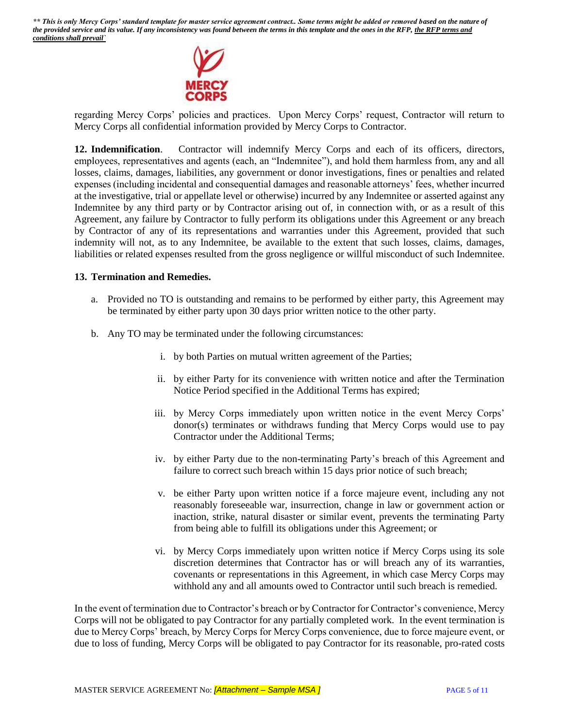

regarding Mercy Corps' policies and practices. Upon Mercy Corps' request, Contractor will return to Mercy Corps all confidential information provided by Mercy Corps to Contractor.

**12. Indemnification**. Contractor will indemnify Mercy Corps and each of its officers, directors, employees, representatives and agents (each, an "Indemnitee"), and hold them harmless from, any and all losses, claims, damages, liabilities, any government or donor investigations, fines or penalties and related expenses (including incidental and consequential damages and reasonable attorneys' fees, whether incurred at the investigative, trial or appellate level or otherwise) incurred by any Indemnitee or asserted against any Indemnitee by any third party or by Contractor arising out of, in connection with, or as a result of this Agreement, any failure by Contractor to fully perform its obligations under this Agreement or any breach by Contractor of any of its representations and warranties under this Agreement, provided that such indemnity will not, as to any Indemnitee, be available to the extent that such losses, claims, damages, liabilities or related expenses resulted from the gross negligence or willful misconduct of such Indemnitee.

#### **13. Termination and Remedies.**

- a. Provided no TO is outstanding and remains to be performed by either party, this Agreement may be terminated by either party upon 30 days prior written notice to the other party.
- b. Any TO may be terminated under the following circumstances:
	- i. by both Parties on mutual written agreement of the Parties;
	- ii. by either Party for its convenience with written notice and after the Termination Notice Period specified in the Additional Terms has expired;
	- iii. by Mercy Corps immediately upon written notice in the event Mercy Corps' donor(s) terminates or withdraws funding that Mercy Corps would use to pay Contractor under the Additional Terms;
	- iv. by either Party due to the non-terminating Party's breach of this Agreement and failure to correct such breach within 15 days prior notice of such breach;
	- v. be either Party upon written notice if a force majeure event, including any not reasonably foreseeable war, insurrection, change in law or government action or inaction, strike, natural disaster or similar event, prevents the terminating Party from being able to fulfill its obligations under this Agreement; or
	- vi. by Mercy Corps immediately upon written notice if Mercy Corps using its sole discretion determines that Contractor has or will breach any of its warranties, covenants or representations in this Agreement, in which case Mercy Corps may withhold any and all amounts owed to Contractor until such breach is remedied.

In the event of termination due to Contractor's breach or by Contractor for Contractor's convenience, Mercy Corps will not be obligated to pay Contractor for any partially completed work. In the event termination is due to Mercy Corps' breach, by Mercy Corps for Mercy Corps convenience, due to force majeure event, or due to loss of funding, Mercy Corps will be obligated to pay Contractor for its reasonable, pro-rated costs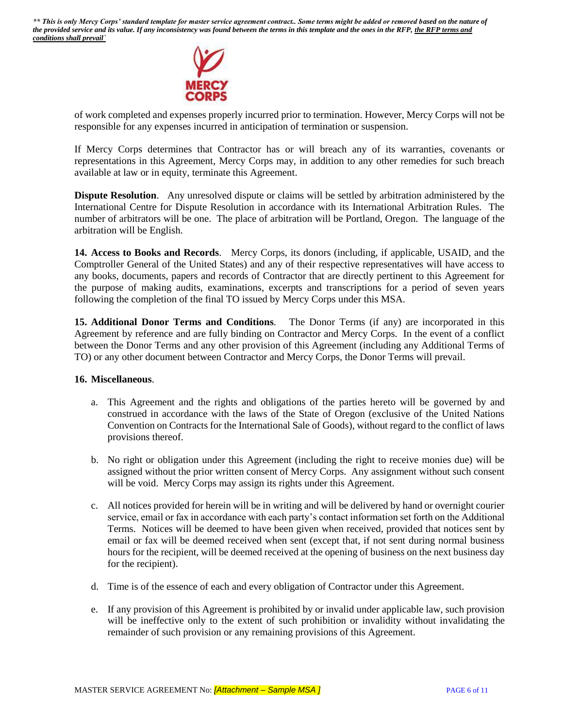

of work completed and expenses properly incurred prior to termination. However, Mercy Corps will not be responsible for any expenses incurred in anticipation of termination or suspension.

If Mercy Corps determines that Contractor has or will breach any of its warranties, covenants or representations in this Agreement, Mercy Corps may, in addition to any other remedies for such breach available at law or in equity, terminate this Agreement.

**Dispute Resolution**. Any unresolved dispute or claims will be settled by arbitration administered by the International Centre for Dispute Resolution in accordance with its International Arbitration Rules. The number of arbitrators will be one. The place of arbitration will be Portland, Oregon. The language of the arbitration will be English.

**14. Access to Books and Records**. Mercy Corps, its donors (including, if applicable, USAID, and the Comptroller General of the United States) and any of their respective representatives will have access to any books, documents, papers and records of Contractor that are directly pertinent to this Agreement for the purpose of making audits, examinations, excerpts and transcriptions for a period of seven years following the completion of the final TO issued by Mercy Corps under this MSA.

**15. Additional Donor Terms and Conditions**. The Donor Terms (if any) are incorporated in this Agreement by reference and are fully binding on Contractor and Mercy Corps. In the event of a conflict between the Donor Terms and any other provision of this Agreement (including any Additional Terms of TO) or any other document between Contractor and Mercy Corps, the Donor Terms will prevail.

### **16. Miscellaneous**.

- a. This Agreement and the rights and obligations of the parties hereto will be governed by and construed in accordance with the laws of the State of Oregon (exclusive of the United Nations Convention on Contracts for the International Sale of Goods), without regard to the conflict of laws provisions thereof.
- b. No right or obligation under this Agreement (including the right to receive monies due) will be assigned without the prior written consent of Mercy Corps. Any assignment without such consent will be void. Mercy Corps may assign its rights under this Agreement.
- c. All notices provided for herein will be in writing and will be delivered by hand or overnight courier service, email or fax in accordance with each party's contact information set forth on the Additional Terms. Notices will be deemed to have been given when received, provided that notices sent by email or fax will be deemed received when sent (except that, if not sent during normal business hours for the recipient, will be deemed received at the opening of business on the next business day for the recipient).
- d. Time is of the essence of each and every obligation of Contractor under this Agreement.
- e. If any provision of this Agreement is prohibited by or invalid under applicable law, such provision will be ineffective only to the extent of such prohibition or invalidity without invalidating the remainder of such provision or any remaining provisions of this Agreement.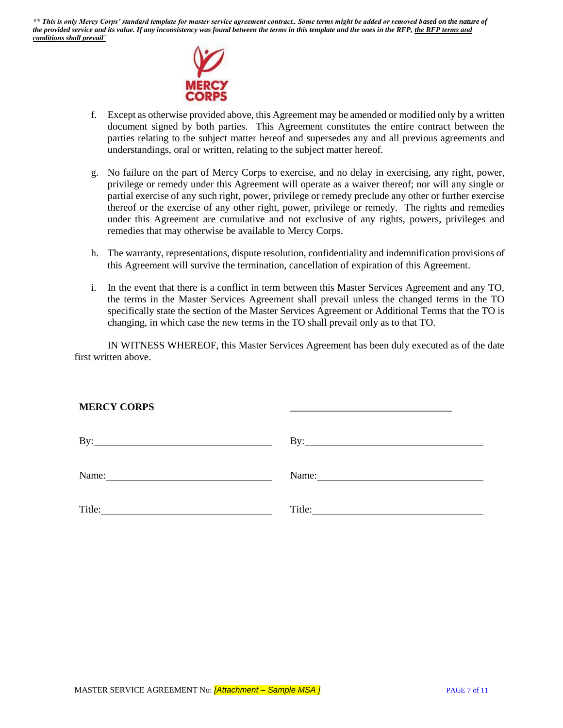

- f. Except as otherwise provided above, this Agreement may be amended or modified only by a written document signed by both parties. This Agreement constitutes the entire contract between the parties relating to the subject matter hereof and supersedes any and all previous agreements and understandings, oral or written, relating to the subject matter hereof.
- g. No failure on the part of Mercy Corps to exercise, and no delay in exercising, any right, power, privilege or remedy under this Agreement will operate as a waiver thereof; nor will any single or partial exercise of any such right, power, privilege or remedy preclude any other or further exercise thereof or the exercise of any other right, power, privilege or remedy. The rights and remedies under this Agreement are cumulative and not exclusive of any rights, powers, privileges and remedies that may otherwise be available to Mercy Corps.
- h. The warranty, representations, dispute resolution, confidentiality and indemnification provisions of this Agreement will survive the termination, cancellation of expiration of this Agreement.
- i. In the event that there is a conflict in term between this Master Services Agreement and any TO, the terms in the Master Services Agreement shall prevail unless the changed terms in the TO specifically state the section of the Master Services Agreement or Additional Terms that the TO is changing, in which case the new terms in the TO shall prevail only as to that TO.

IN WITNESS WHEREOF, this Master Services Agreement has been duly executed as of the date first written above.

\_\_\_\_\_\_\_\_\_\_\_\_\_\_\_\_\_\_\_\_\_\_\_\_\_\_\_\_\_\_\_\_

### **MERCY CORPS**

| By:    | $\rm\,By:$<br><u> 1989 - Andrea Andrew Maria (h. 1989).</u>                                                                                                                                                                    |
|--------|--------------------------------------------------------------------------------------------------------------------------------------------------------------------------------------------------------------------------------|
| Name:  | Name: Name and the state of the state of the state of the state of the state of the state of the state of the state of the state of the state of the state of the state of the state of the state of the state of the state of |
| Title: | Title:                                                                                                                                                                                                                         |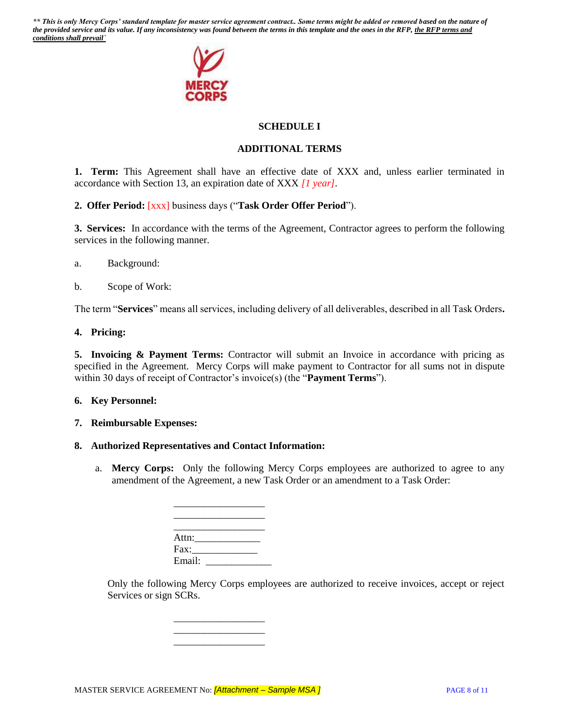

# **SCHEDULE I**

## **ADDITIONAL TERMS**

**1. Term:** This Agreement shall have an effective date of XXX and, unless earlier terminated in accordance with Section 13, an expiration date of XXX *[1 year]*.

### **2. Offer Period:** [xxx] business days ("**Task Order Offer Period**").

**3. Services:** In accordance with the terms of the Agreement, Contractor agrees to perform the following services in the following manner.

- a. Background:
- b. Scope of Work:

The term "**Services**" means all services, including delivery of all deliverables, described in all Task Orders**.** 

#### **4. Pricing:**

**5. Invoicing & Payment Terms:** Contractor will submit an Invoice in accordance with pricing as specified in the Agreement. Mercy Corps will make payment to Contractor for all sums not in dispute within 30 days of receipt of Contractor's invoice(s) (the "**Payment Terms**").

#### **6. Key Personnel:**

#### **7. Reimbursable Expenses:**

### **8. Authorized Representatives and Contact Information:**

a. **Mercy Corps:** Only the following Mercy Corps employees are authorized to agree to any amendment of the Agreement, a new Task Order or an amendment to a Task Order:

| Attn:  |  |  |
|--------|--|--|
| Fax:   |  |  |
| Email: |  |  |

\_\_\_\_\_\_\_\_\_\_\_\_\_\_\_\_\_\_ \_\_\_\_\_\_\_\_\_\_\_\_\_\_\_\_\_\_ \_\_\_\_\_\_\_\_\_\_\_\_\_\_\_\_\_\_

\_\_\_\_\_\_\_\_\_\_\_\_\_\_\_\_\_\_

Only the following Mercy Corps employees are authorized to receive invoices, accept or reject Services or sign SCRs.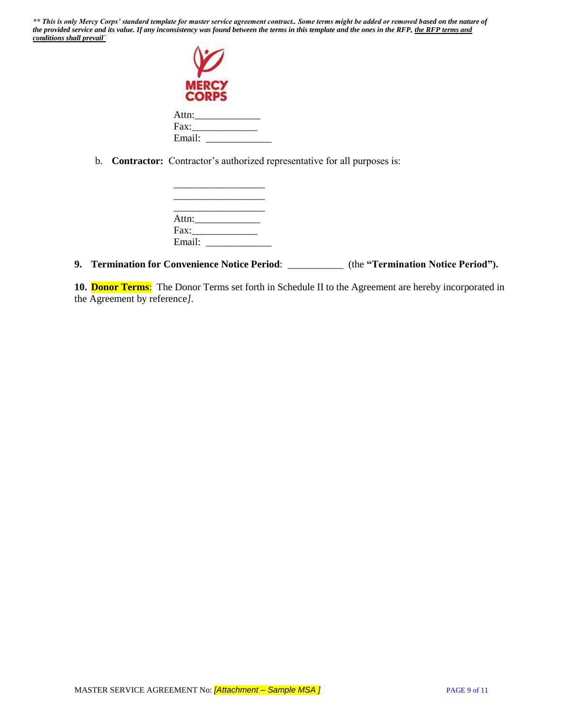| <b>MERC</b><br><b>CORPS</b> |  |
|-----------------------------|--|
| Attn:                       |  |
| Fax:                        |  |
| Email:                      |  |

b. **Contractor:** Contractor's authorized representative for all purposes is:

| Attn:  |  |  |
|--------|--|--|
| Fax:   |  |  |
| Email: |  |  |

# **9. Termination for Convenience Notice Period**: \_\_\_\_\_\_\_\_\_\_\_ (the **"Termination Notice Period").**

**10. Donor Terms**: The Donor Terms set forth in Schedule II to the Agreement are hereby incorporated in the Agreement by reference*].*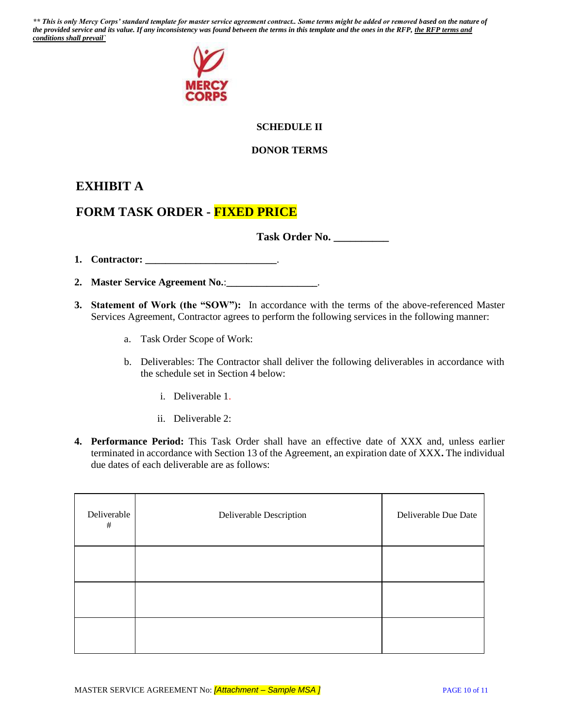

# **SCHEDULE II**

## **DONOR TERMS**

# **EXHIBIT A**

# **FORM TASK ORDER - FIXED PRICE**

**Task Order No. \_\_\_\_\_\_\_\_\_\_**

**1. Contractor: \_\_\_\_\_\_\_\_\_\_\_\_\_\_\_\_\_\_\_\_\_\_\_\_\_\_**.

**2. Master Service Agreement No.**:**\_\_\_\_\_\_\_\_\_\_\_\_\_\_\_\_\_\_**.

- **3. Statement of Work (the "SOW"):** In accordance with the terms of the above-referenced Master Services Agreement, Contractor agrees to perform the following services in the following manner:
	- a. Task Order Scope of Work:
	- b. Deliverables: The Contractor shall deliver the following deliverables in accordance with the schedule set in Section 4 below:
		- i. Deliverable 1.
		- ii. Deliverable 2:
- **4. Performance Period:** This Task Order shall have an effective date of XXX and, unless earlier terminated in accordance with Section 13 of the Agreement, an expiration date of XXX**.** The individual due dates of each deliverable are as follows:

| Deliverable<br>$\#$ | Deliverable Description | Deliverable Due Date |  |
|---------------------|-------------------------|----------------------|--|
|                     |                         |                      |  |
|                     |                         |                      |  |
|                     |                         |                      |  |